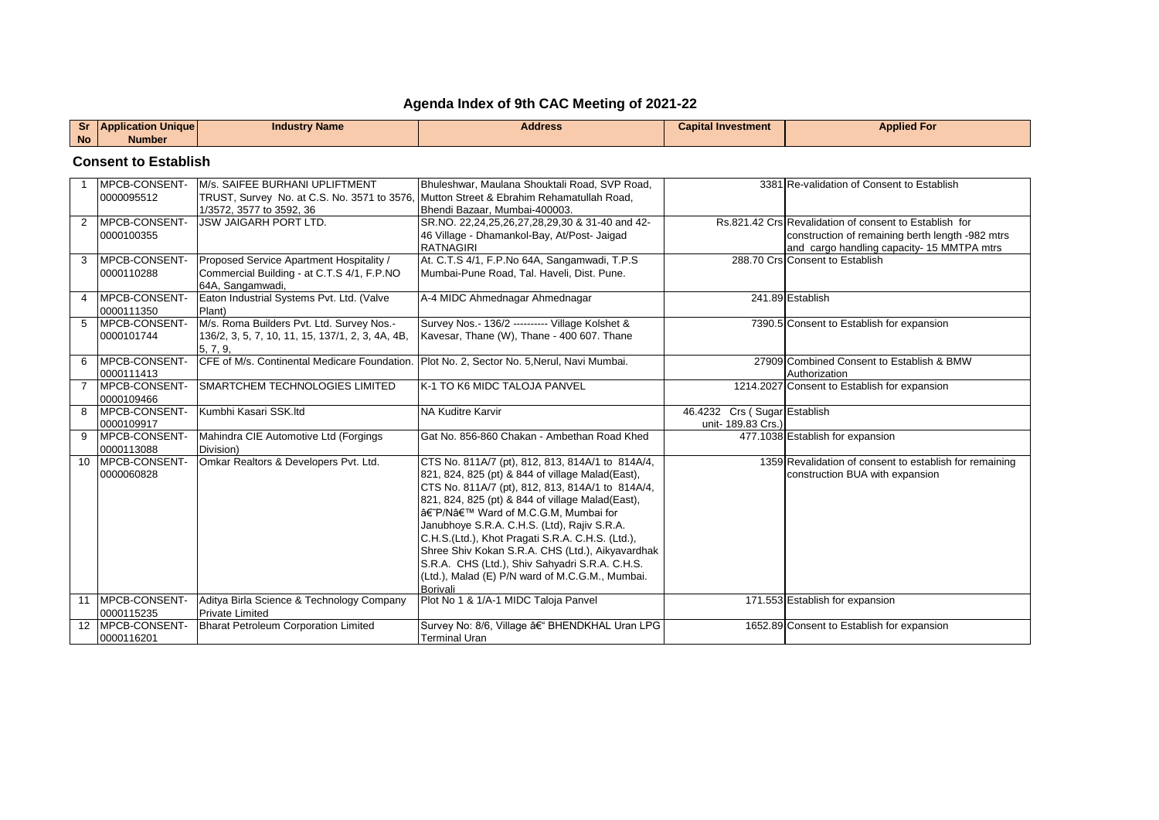## **Agenda Index of 9th CAC Meeting of 2021-22**

| $\cdots$  | <b>Application Uniquel</b> | Industrv Name | <b>Address</b> | Capital Investment | <b>Applied For</b> |
|-----------|----------------------------|---------------|----------------|--------------------|--------------------|
| <b>No</b> | Number                     |               |                |                    |                    |

## **Consent to Establish**

|   | <b>IMPCB-CONSENT-</b>          | M/s. SAIFEE BURHANI UPLIFTMENT                   | Bhuleshwar, Maulana Shouktali Road, SVP Road,                          |                              | 3381 Re-validation of Consent to Establish              |
|---|--------------------------------|--------------------------------------------------|------------------------------------------------------------------------|------------------------------|---------------------------------------------------------|
|   | 0000095512                     | TRUST, Survey No. at C.S. No. 3571 to 3576,      | Mutton Street & Ebrahim Rehamatullah Road,                             |                              |                                                         |
|   |                                | 1/3572, 3577 to 3592, 36                         | Bhendi Bazaar, Mumbai-400003.                                          |                              |                                                         |
| 2 | <b>IMPCB-CONSENT-</b>          | <b>IJSW JAIGARH PORT LTD.</b>                    | SR.NO. 22,24,25,26,27,28,29,30 & 31-40 and 42-                         |                              | Rs.821.42 Crs Revalidation of consent to Establish for  |
|   | 0000100355                     |                                                  | 46 Village - Dhamankol-Bay, At/Post- Jaigad                            |                              | construction of remaining berth length -982 mtrs        |
|   |                                |                                                  | <b>RATNAGIRI</b>                                                       |                              | and cargo handling capacity- 15 MMTPA mtrs              |
| 3 | MPCB-CONSENT-                  | Proposed Service Apartment Hospitality /         | At. C.T.S 4/1, F.P.No 64A, Sangamwadi, T.P.S                           |                              | 288.70 Crs Consent to Establish                         |
|   | 0000110288                     | Commercial Building - at C.T.S 4/1, F.P.NO       | Mumbai-Pune Road. Tal. Haveli. Dist. Pune.                             |                              |                                                         |
|   |                                | 64A, Sangamwadi,                                 |                                                                        |                              |                                                         |
| 4 | <b>IMPCB-CONSENT-</b>          | Eaton Industrial Systems Pvt. Ltd. (Valve        | A-4 MIDC Ahmednagar Ahmednagar                                         |                              | 241.89 Establish                                        |
|   | 0000111350                     | Plant)                                           |                                                                        |                              |                                                         |
| 5 | <b>IMPCB-CONSENT-</b>          | M/s. Roma Builders Pvt. Ltd. Survey Nos.-        | Survey Nos. - 136/2 --------- Village Kolshet &                        |                              | 7390.5 Consent to Establish for expansion               |
|   | 0000101744                     | 136/2, 3, 5, 7, 10, 11, 15, 137/1, 2, 3, 4A, 4B, | Kavesar, Thane (W), Thane - 400 607. Thane                             |                              |                                                         |
|   |                                | 5, 7, 9,                                         |                                                                        |                              |                                                         |
| 6 | <b>IMPCB-CONSENT-</b>          | CFE of M/s. Continental Medicare Foundation.     | Plot No. 2, Sector No. 5, Nerul, Navi Mumbai.                          |                              | 27909 Combined Consent to Establish & BMW               |
|   | 0000111413                     |                                                  |                                                                        |                              | Authorization                                           |
|   | 7 IMPCB-CONSENT-               | <b>ISMARTCHEM TECHNOLOGIES LIMITED</b>           | <b>IK-1 TO K6 MIDC TALOJA PANVEL</b>                                   |                              | 1214.2027 Consent to Establish for expansion            |
|   | 0000109466                     |                                                  |                                                                        |                              |                                                         |
|   | 8 MPCB-CONSENT-                | Kumbhi Kasari SSK.ltd                            | <b>NA Kuditre Karvir</b>                                               | 46.4232 Crs (Sugar Establish |                                                         |
|   | 0000109917                     |                                                  |                                                                        | unit- 189.83 Crs.)           |                                                         |
|   |                                |                                                  |                                                                        |                              |                                                         |
|   | 9 <b>IMPCB-CONSENT-</b>        | Mahindra CIE Automotive Ltd (Forgings            | Gat No. 856-860 Chakan - Ambethan Road Khed                            |                              | 477.1038 Establish for expansion                        |
|   | 0000113088                     | Division)                                        |                                                                        |                              |                                                         |
|   | 10 MPCB-CONSENT-               | Omkar Realtors & Developers Pvt. Ltd.            | CTS No. 811A/7 (pt), 812, 813, 814A/1 to 814A/4,                       |                              | 1359 Revalidation of consent to establish for remaining |
|   | 0000060828                     |                                                  | 821, 824, 825 (pt) & 844 of village Malad(East),                       |                              | construction BUA with expansion                         |
|   |                                |                                                  | CTS No. 811A/7 (pt), 812, 813, 814A/1 to 814A/4,                       |                              |                                                         |
|   |                                |                                                  | 821, 824, 825 (pt) & 844 of village Malad(East),                       |                              |                                                         |
|   |                                |                                                  | †P/N' Ward of M.C.G.M, Mumbai for                                      |                              |                                                         |
|   |                                |                                                  | Janubhoye S.R.A. C.H.S. (Ltd), Rajiv S.R.A.                            |                              |                                                         |
|   |                                |                                                  | C.H.S.(Ltd.), Khot Pragati S.R.A. C.H.S. (Ltd.),                       |                              |                                                         |
|   |                                |                                                  | Shree Shiv Kokan S.R.A. CHS (Ltd.), Aikyavardhak                       |                              |                                                         |
|   |                                |                                                  | S.R.A. CHS (Ltd.), Shiv Sahyadri S.R.A. C.H.S.                         |                              |                                                         |
|   |                                |                                                  | (Ltd.), Malad (E) P/N ward of M.C.G.M., Mumbai.                        |                              |                                                         |
|   |                                |                                                  | <b>Borivali</b>                                                        |                              |                                                         |
|   | 11 IMPCB-CONSENT-              | Aditya Birla Science & Technology Company        | Plot No 1 & 1/A-1 MIDC Taloja Panvel                                   |                              | 171.553 Establish for expansion                         |
|   | 0000115235                     | <b>Private Limited</b>                           |                                                                        |                              |                                                         |
|   | 12 MPCB-CONSENT-<br>0000116201 | Bharat Petroleum Corporation Limited             | Survey No: 8/6, Village â€" BHENDKHAL Uran LPG<br><b>Terminal Uran</b> |                              | 1652.89 Consent to Establish for expansion              |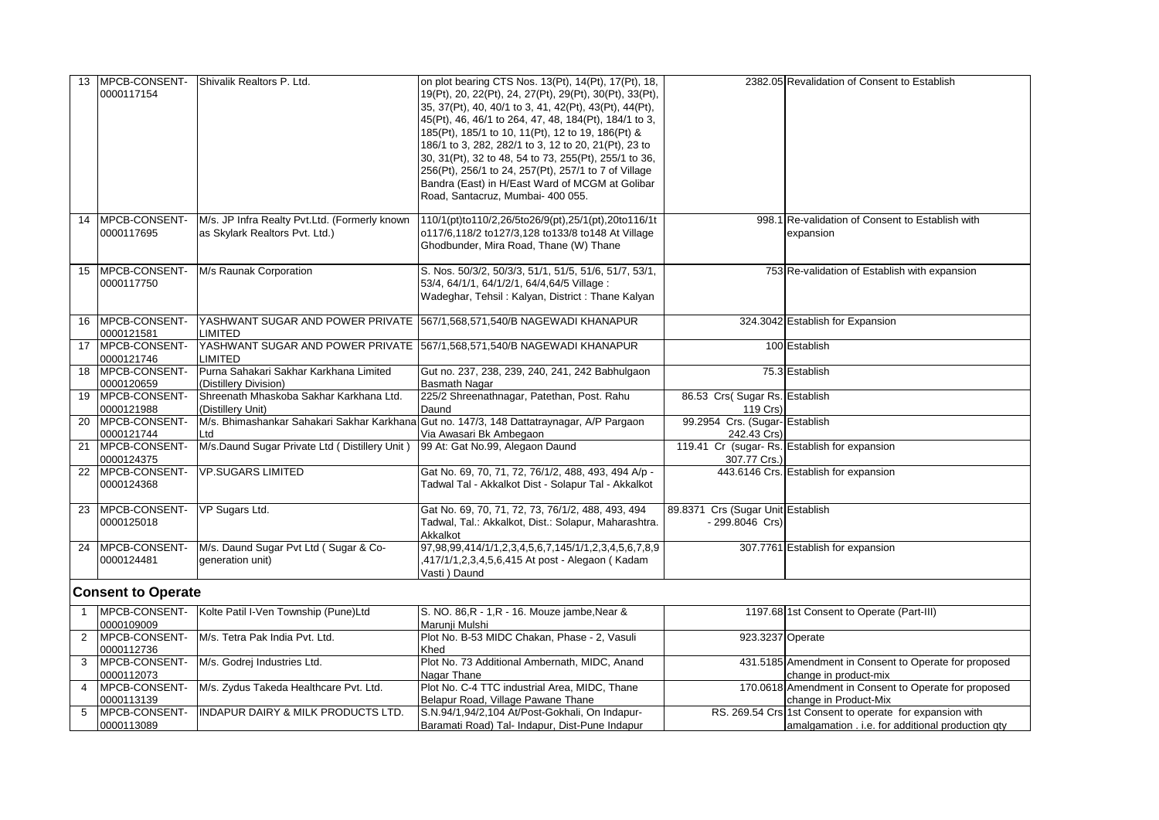| 13             | MPCB-CONSENT-                  | Shivalik Realtors P. Ltd.                          | on plot bearing CTS Nos. 13(Pt), 14(Pt), 17(Pt), 18,                                      |                                   | 2382.05 Revalidation of Consent to Establish             |
|----------------|--------------------------------|----------------------------------------------------|-------------------------------------------------------------------------------------------|-----------------------------------|----------------------------------------------------------|
|                | 0000117154                     |                                                    | 19(Pt), 20, 22(Pt), 24, 27(Pt), 29(Pt), 30(Pt), 33(Pt),                                   |                                   |                                                          |
|                |                                |                                                    | 35, 37(Pt), 40, 40/1 to 3, 41, 42(Pt), 43(Pt), 44(Pt),                                    |                                   |                                                          |
|                |                                |                                                    | 45(Pt), 46, 46/1 to 264, 47, 48, 184(Pt), 184/1 to 3,                                     |                                   |                                                          |
|                |                                |                                                    | 185(Pt), 185/1 to 10, 11(Pt), 12 to 19, 186(Pt) &                                         |                                   |                                                          |
|                |                                |                                                    | 186/1 to 3, 282, 282/1 to 3, 12 to 20, 21(Pt), 23 to                                      |                                   |                                                          |
|                |                                |                                                    | 30, 31(Pt), 32 to 48, 54 to 73, 255(Pt), 255/1 to 36,                                     |                                   |                                                          |
|                |                                |                                                    | 256(Pt), 256/1 to 24, 257(Pt), 257/1 to 7 of Village                                      |                                   |                                                          |
|                |                                |                                                    | Bandra (East) in H/East Ward of MCGM at Golibar                                           |                                   |                                                          |
|                |                                |                                                    |                                                                                           |                                   |                                                          |
|                |                                |                                                    | Road, Santacruz, Mumbai- 400 055.                                                         |                                   |                                                          |
| 14             | MPCB-CONSENT-                  | M/s. JP Infra Realty Pvt.Ltd. (Formerly known      | 110/1(pt)to110/2,26/5to26/9(pt),25/1(pt),20to116/1t                                       |                                   | 998.1 Re-validation of Consent to Establish with         |
|                | 0000117695                     | as Skylark Realtors Pvt. Ltd.)                     | o117/6,118/2 to127/3,128 to133/8 to148 At Village                                         |                                   | expansion                                                |
|                |                                |                                                    | Ghodbunder, Mira Road, Thane (W) Thane                                                    |                                   |                                                          |
|                |                                |                                                    |                                                                                           |                                   |                                                          |
|                | 15 MPCB-CONSENT-               | M/s Raunak Corporation                             | S. Nos. 50/3/2, 50/3/3, 51/1, 51/5, 51/6, 51/7, 53/1,                                     |                                   | 753 Re-validation of Establish with expansion            |
|                | 0000117750                     |                                                    | 53/4, 64/1/1, 64/1/2/1, 64/4, 64/5 Village:                                               |                                   |                                                          |
|                |                                |                                                    | Wadeghar, Tehsil: Kalyan, District: Thane Kalyan                                          |                                   |                                                          |
|                |                                |                                                    |                                                                                           |                                   |                                                          |
|                | 16 MPCB-CONSENT-               |                                                    | YASHWANT SUGAR AND POWER PRIVATE 567/1,568,571,540/B NAGEWADI KHANAPUR                    |                                   | 324.3042 Establish for Expansion                         |
|                | 0000121581<br>17 MPCB-CONSENT- | <b>LIMITED</b>                                     |                                                                                           |                                   |                                                          |
|                | 0000121746                     | <b>LIMITED</b>                                     | YASHWANT SUGAR AND POWER PRIVATE 567/1,568,571,540/B NAGEWADI KHANAPUR                    |                                   | 100 Establish                                            |
|                | 18 MPCB-CONSENT-               | Purna Sahakari Sakhar Karkhana Limited             | Gut no. 237, 238, 239, 240, 241, 242 Babhulgaon                                           |                                   | 75.3 Establish                                           |
|                | 0000120659                     | (Distillery Division)                              | Basmath Nagar                                                                             |                                   |                                                          |
| 19             | MPCB-CONSENT-                  | Shreenath Mhaskoba Sakhar Karkhana Ltd.            | 225/2 Shreenathnagar, Patethan, Post. Rahu                                                | 86.53 Crs(Sugar Rs. Establish     |                                                          |
|                | 0000121988                     | (Distillery Unit)                                  | Daund                                                                                     | 119 Crs)                          |                                                          |
| 20             | MPCB-CONSENT-                  |                                                    | M/s. Bhimashankar Sahakari Sakhar Karkhana Gut no. 147/3, 148 Dattatraynagar, A/P Pargaon | 99.2954 Crs. (Sugar-Establish     |                                                          |
|                | 0000121744                     | Ltd                                                | Via Awasari Bk Ambegaon                                                                   | 242.43 Crs)                       |                                                          |
| 21             | MPCB-CONSENT-                  | M/s.Daund Sugar Private Ltd (Distillery Unit)      | 99 At: Gat No.99, Alegaon Daund                                                           |                                   | 119.41 Cr (sugar- Rs. Establish for expansion            |
|                | 0000124375                     |                                                    |                                                                                           | 307.77 Crs.)                      |                                                          |
| 22             | MPCB-CONSENT-                  | <b>VP.SUGARS LIMITED</b>                           | Gat No. 69, 70, 71, 72, 76/1/2, 488, 493, 494 A/p -                                       |                                   | 443.6146 Crs. Establish for expansion                    |
|                | 0000124368                     |                                                    | Tadwal Tal - Akkalkot Dist - Solapur Tal - Akkalkot                                       |                                   |                                                          |
|                |                                |                                                    |                                                                                           |                                   |                                                          |
| 23             | MPCB-CONSENT-                  | VP Sugars Ltd.                                     | Gat No. 69, 70, 71, 72, 73, 76/1/2, 488, 493, 494                                         | 89.8371 Crs (Sugar Unit Establish |                                                          |
|                | 0000125018                     |                                                    | Tadwal, Tal.: Akkalkot, Dist.: Solapur, Maharashtra.                                      | - 299.8046 Crs)                   |                                                          |
|                |                                |                                                    | Akkalkot                                                                                  |                                   |                                                          |
| 24             | MPCB-CONSENT-                  | M/s. Daund Sugar Pvt Ltd (Sugar & Co-              | 97, 98, 99, 414/1/1, 2, 3, 4, 5, 6, 7, 145/1/1, 2, 3, 4, 5, 6, 7, 8, 9                    |                                   | 307.7761 Establish for expansion                         |
|                | 0000124481                     | generation unit)                                   | ,417/1/1,2,3,4,5,6,415 At post - Alegaon (Kadam                                           |                                   |                                                          |
|                |                                |                                                    | Vasti) Daund                                                                              |                                   |                                                          |
|                |                                |                                                    |                                                                                           |                                   |                                                          |
|                | <b>Consent to Operate</b>      |                                                    |                                                                                           |                                   |                                                          |
|                |                                | MPCB-CONSENT- Kolte Patil I-Ven Township (Pune)Ltd | S. NO. 86, R - 1, R - 16. Mouze jambe, Near &                                             |                                   | 1197.68 1st Consent to Operate (Part-III)                |
|                | 0000109009                     |                                                    | Marunji Mulshi                                                                            |                                   |                                                          |
| $\overline{2}$ | MPCB-CONSENT-                  | M/s. Tetra Pak India Pyt. Ltd.                     | Plot No. B-53 MIDC Chakan, Phase - 2, Vasuli                                              | 923.3237 Operate                  |                                                          |
|                | 0000112736                     |                                                    | Khed                                                                                      |                                   |                                                          |
| 3              | MPCB-CONSENT-                  | M/s. Godrej Industries Ltd.                        | Plot No. 73 Additional Ambernath, MIDC, Anand                                             |                                   | 431.5185 Amendment in Consent to Operate for proposed    |
|                | 0000112073                     |                                                    | Nagar Thane                                                                               |                                   | change in product-mix                                    |
| $\overline{4}$ | MPCB-CONSENT-                  | M/s. Zydus Takeda Healthcare Pvt. Ltd.             | Plot No. C-4 TTC industrial Area, MIDC, Thane                                             |                                   | 170.0618 Amendment in Consent to Operate for proposed    |
|                | 0000113139                     |                                                    | Belapur Road, Village Pawane Thane                                                        |                                   | change in Product-Mix                                    |
| 5              | MPCB-CONSENT-                  | <b>INDAPUR DAIRY &amp; MILK PRODUCTS LTD.</b>      | S.N.94/1,94/2,104 At/Post-Gokhali, On Indapur-                                            |                                   | RS. 269.54 Crs 1st Consent to operate for expansion with |
|                | 0000113089                     |                                                    | Baramati Road) Tal- Indapur, Dist-Pune Indapur                                            |                                   | amalgamation . i.e. for additional production qty        |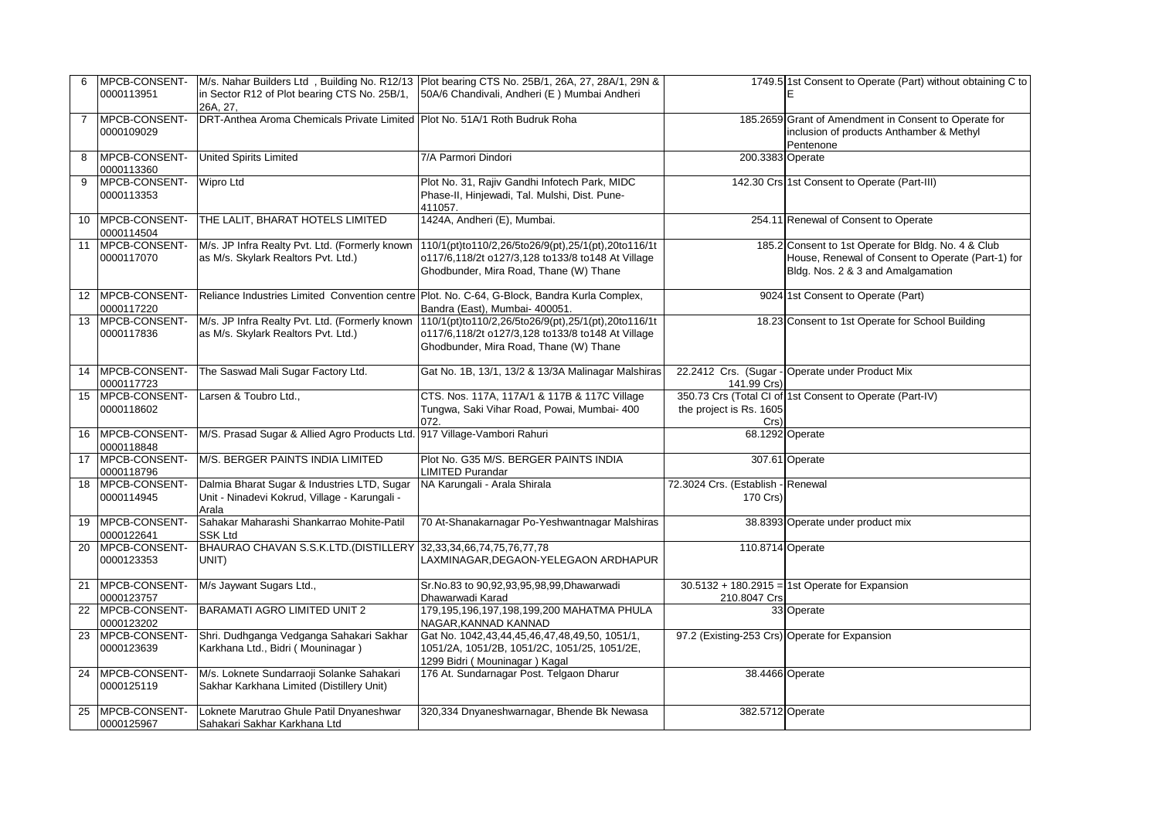| 6              | 0000113951                      | in Sector R12 of Plot bearing CTS No. 25B/1,<br>26A. 27.                                              | MPCB-CONSENT- M/s. Nahar Builders Ltd, Building No. R12/13 Plot bearing CTS No. 25B/1, 26A, 27, 28A/1, 29N &<br>50A/6 Chandivali, Andheri (E) Mumbai Andheri |                                               | 1749.5 1st Consent to Operate (Part) without obtaining C to<br>E                                                                              |
|----------------|---------------------------------|-------------------------------------------------------------------------------------------------------|--------------------------------------------------------------------------------------------------------------------------------------------------------------|-----------------------------------------------|-----------------------------------------------------------------------------------------------------------------------------------------------|
| $\overline{7}$ | MPCB-CONSENT-<br>0000109029     | DRT-Anthea Aroma Chemicals Private Limited Plot No. 51A/1 Roth Budruk Roha                            |                                                                                                                                                              |                                               | 185.2659 Grant of Amendment in Consent to Operate for<br>inclusion of products Anthamber & Methyl<br>Pentenone                                |
| 8              | MPCB-CONSENT-<br>0000113360     | United Spirits Limited                                                                                | 7/A Parmori Dindori                                                                                                                                          | 200.3383 Operate                              |                                                                                                                                               |
| 9              | MPCB-CONSENT-<br>0000113353     | <b>Wipro Ltd</b>                                                                                      | Plot No. 31, Rajiv Gandhi Infotech Park, MIDC<br>Phase-II, Hinjewadi, Tal. Mulshi, Dist. Pune-<br>411057.                                                    |                                               | 142.30 Crs 1st Consent to Operate (Part-III)                                                                                                  |
| 10             | 0000114504                      | MPCB-CONSENT- THE LALIT, BHARAT HOTELS LIMITED                                                        | 1424A, Andheri (E), Mumbai.                                                                                                                                  |                                               | 254.11 Renewal of Consent to Operate                                                                                                          |
| 11             | MPCB-CONSENT-<br>0000117070     | M/s. JP Infra Realty Pvt. Ltd. (Formerly known<br>as M/s. Skylark Realtors Pvt. Ltd.)                 | 110/1(pt)to110/2,26/5to26/9(pt),25/1(pt),20to116/1t<br>o117/6,118/2t o127/3,128 to133/8 to148 At Village<br>Ghodbunder, Mira Road, Thane (W) Thane           |                                               | 185.2 Consent to 1st Operate for Bldg. No. 4 & Club<br>House, Renewal of Consent to Operate (Part-1) for<br>Bldg. Nos. 2 & 3 and Amalgamation |
|                | 12 IMPCB-CONSENT-<br>0000117220 |                                                                                                       | Reliance Industries Limited Convention centre Plot. No. C-64, G-Block, Bandra Kurla Complex,<br>Bandra (East), Mumbai- 400051.                               |                                               | 9024 1st Consent to Operate (Part)                                                                                                            |
|                | 13 MPCB-CONSENT-<br>0000117836  | M/s. JP Infra Realty Pvt. Ltd. (Formerly known<br>as M/s. Skylark Realtors Pvt. Ltd.)                 | 110/1(pt)to110/2,26/5to26/9(pt),25/1(pt),20to116/1t<br>o117/6,118/2t o127/3,128 to133/8 to148 At Village<br>Ghodbunder, Mira Road, Thane (W) Thane           |                                               | 18.23 Consent to 1st Operate for School Building                                                                                              |
| 14             | MPCB-CONSENT-<br>0000117723     | The Saswad Mali Sugar Factory Ltd.                                                                    | Gat No. 1B, 13/1, 13/2 & 13/3A Malinagar Malshiras                                                                                                           | 141.99 Crs)                                   | 22.2412 Crs. (Sugar - Operate under Product Mix                                                                                               |
| 15             | MPCB-CONSENT-<br>0000118602     | Larsen & Toubro Ltd                                                                                   | CTS. Nos. 117A, 117A/1 & 117B & 117C Village<br>Tungwa, Saki Vihar Road, Powai, Mumbai- 400<br>072.                                                          | the project is Rs. 1605<br>$Crs$ )            | 350.73 Crs (Total CI of 1st Consent to Operate (Part-IV)                                                                                      |
| 16             | MPCB-CONSENT-<br>0000118848     | M/S. Prasad Sugar & Allied Agro Products Ltd. 917 Village-Vambori Rahuri                              |                                                                                                                                                              |                                               | 68.1292 Operate                                                                                                                               |
| 17             | MPCB-CONSENT-<br>0000118796     | M/S. BERGER PAINTS INDIA LIMITED                                                                      | Plot No. G35 M/S. BERGER PAINTS INDIA<br><b>LIMITED Purandar</b>                                                                                             |                                               | 307.61 Operate                                                                                                                                |
| 18             | MPCB-CONSENT-<br>0000114945     | Dalmia Bharat Sugar & Industries LTD, Sugar<br>Unit - Ninadevi Kokrud, Village - Karungali -<br>Arala | NA Karungali - Arala Shirala                                                                                                                                 | 72.3024 Crs. (Establish - Renewal<br>170 Crs) |                                                                                                                                               |
|                | 19 MPCB-CONSENT-<br>0000122641  | Sahakar Maharashi Shankarrao Mohite-Patil<br><b>SSK Ltd</b>                                           | 70 At-Shanakarnagar Po-Yeshwantnagar Malshiras                                                                                                               |                                               | 38.8393 Operate under product mix                                                                                                             |
| 20             | MPCB-CONSENT-<br>0000123353     | BHAURAO CHAVAN S.S.K.LTD.(DISTILLERY 32,33,34,66,74,75,76,77,78<br>UNIT)                              | LAXMINAGAR, DEGAON-YELEGAON ARDHAPUR                                                                                                                         | 110.8714 Operate                              |                                                                                                                                               |
| 21             | MPCB-CONSENT-<br>0000123757     | M/s Jaywant Sugars Ltd.,                                                                              | Sr.No.83 to 90,92,93,95,98,99,Dhawarwadi<br>Dhawarwadi Karad                                                                                                 | 210.8047 Crs                                  | 30.5132 + 180.2915 = 1st Operate for Expansion                                                                                                |
| 22             | MPCB-CONSENT-<br>0000123202     | <b>BARAMATI AGRO LIMITED UNIT 2</b>                                                                   | 179,195,196,197,198,199,200 MAHATMA PHULA<br>NAGAR, KANNAD KANNAD                                                                                            |                                               | 33 Operate                                                                                                                                    |
| 23             | MPCB-CONSENT-<br>0000123639     | Shri. Dudhganga Vedganga Sahakari Sakhar<br>Karkhana Ltd., Bidri (Mouninagar)                         | Gat No. 1042,43,44,45,46,47,48,49,50, 1051/1,<br>1051/2A, 1051/2B, 1051/2C, 1051/25, 1051/2E,<br>1299 Bidri (Mouninagar) Kagal                               | 97.2 (Existing-253 Crs) Operate for Expansion |                                                                                                                                               |
| 24             | MPCB-CONSENT-<br>0000125119     | M/s. Loknete Sundarraoji Solanke Sahakari<br>Sakhar Karkhana Limited (Distillery Unit)                | 176 At. Sundarnagar Post. Telgaon Dharur                                                                                                                     |                                               | 38.4466 Operate                                                                                                                               |
| 25             | MPCB-CONSENT-<br>0000125967     | Loknete Marutrao Ghule Patil Dnyaneshwar<br>Sahakari Sakhar Karkhana Ltd                              | 320,334 Dnyaneshwarnagar, Bhende Bk Newasa                                                                                                                   | 382.5712 Operate                              |                                                                                                                                               |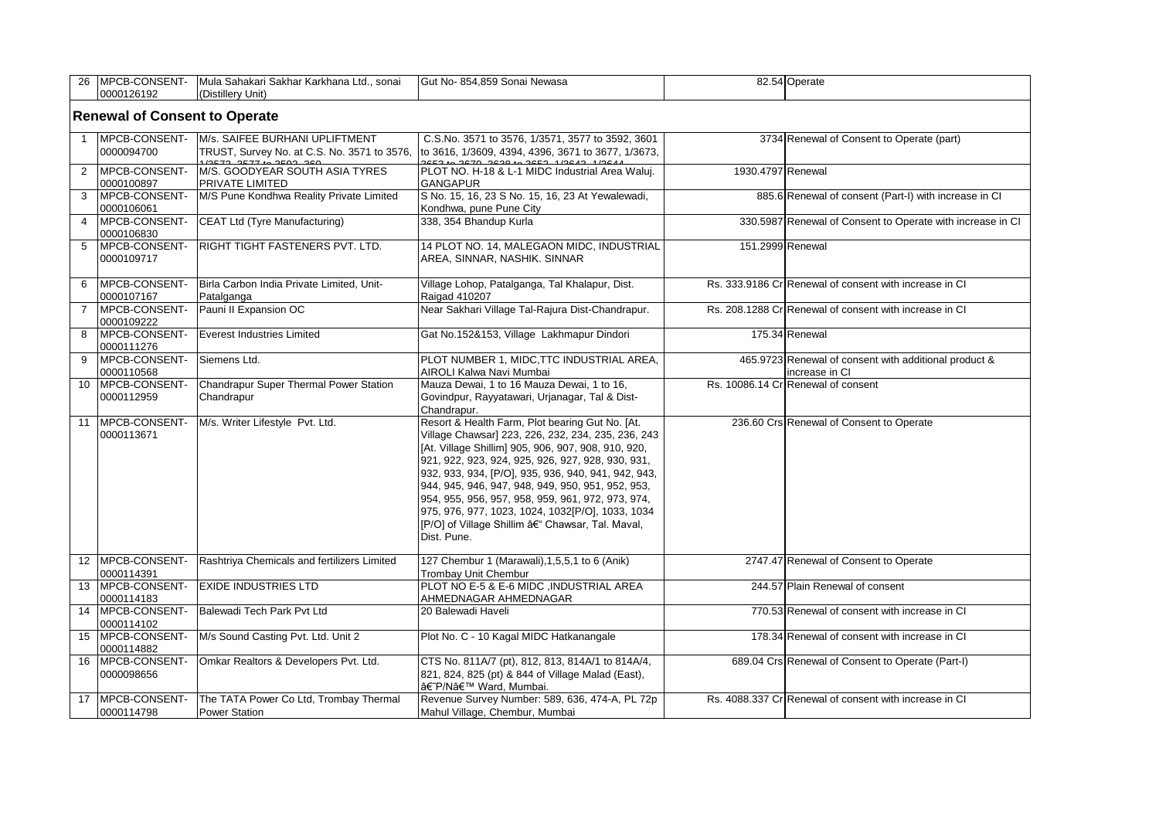| 26                                   |                                     | MPCB-CONSENT- Mula Sahakari Sakhar Karkhana Ltd., sonai                               | Gut No-854,859 Sonai Newasa                                                                                                                                                                                                                                                                                                                                                                                                                                                                              |                   | 82.54 Operate                                                           |  |
|--------------------------------------|-------------------------------------|---------------------------------------------------------------------------------------|----------------------------------------------------------------------------------------------------------------------------------------------------------------------------------------------------------------------------------------------------------------------------------------------------------------------------------------------------------------------------------------------------------------------------------------------------------------------------------------------------------|-------------------|-------------------------------------------------------------------------|--|
|                                      | 0000126192                          | (Distillery Unit)                                                                     |                                                                                                                                                                                                                                                                                                                                                                                                                                                                                                          |                   |                                                                         |  |
| <b>Renewal of Consent to Operate</b> |                                     |                                                                                       |                                                                                                                                                                                                                                                                                                                                                                                                                                                                                                          |                   |                                                                         |  |
| $\mathbf{1}$                         | MPCB-CONSENT-<br>0000094700         | M/s. SAIFEE BURHANI UPLIFTMENT<br>TRUST, Survey No. at C.S. No. 3571 to 3576,         | C.S.No. 3571 to 3576, 1/3571, 3577 to 3592, 3601<br>to 3616, 1/3609, 4394, 4396, 3671 to 3677, 1/3673,<br>2052 to 2070 2020 to 2052 1/2012                                                                                                                                                                                                                                                                                                                                                               |                   | 3734 Renewal of Consent to Operate (part)                               |  |
| $\overline{2}$                       | <b>IMPCB-CONSENT-</b><br>0000100897 | 1/2573, 2577 to 2503, 260<br>M/S. GOODYEAR SOUTH ASIA TYRES<br><b>PRIVATE LIMITED</b> | PLOT NO. H-18 & L-1 MIDC Industrial Area Waluj.<br><b>GANGAPUR</b>                                                                                                                                                                                                                                                                                                                                                                                                                                       | 1930.4797 Renewal |                                                                         |  |
| 3                                    | <b>MPCB-CONSENT-</b><br>0000106061  | M/S Pune Kondhwa Reality Private Limited                                              | S No. 15, 16, 23 S No. 15, 16, 23 At Yewalewadi,<br>Kondhwa, pune Pune City                                                                                                                                                                                                                                                                                                                                                                                                                              |                   | 885.6 Renewal of consent (Part-I) with increase in CI                   |  |
| $\overline{4}$                       | MPCB-CONSENT-<br>0000106830         | CEAT Ltd (Tyre Manufacturing)                                                         | 338, 354 Bhandup Kurla                                                                                                                                                                                                                                                                                                                                                                                                                                                                                   |                   | 330.5987 Renewal of Consent to Operate with increase in CI              |  |
| 5                                    | <b>MPCB-CONSENT-</b><br>0000109717  | <b>RIGHT TIGHT FASTENERS PVT. LTD.</b>                                                | 14 PLOT NO. 14, MALEGAON MIDC, INDUSTRIAL<br>AREA, SINNAR, NASHIK. SINNAR                                                                                                                                                                                                                                                                                                                                                                                                                                | 151.2999 Renewal  |                                                                         |  |
| 6                                    | MPCB-CONSENT-<br>0000107167         | Birla Carbon India Private Limited, Unit-<br>Patalganga                               | Village Lohop, Patalganga, Tal Khalapur, Dist.<br>Raigad 410207                                                                                                                                                                                                                                                                                                                                                                                                                                          |                   | Rs. 333.9186 Cr Renewal of consent with increase in CI                  |  |
| $\overline{7}$                       | MPCB-CONSENT-<br>0000109222         | Pauni II Expansion OC                                                                 | Near Sakhari Village Tal-Rajura Dist-Chandrapur.                                                                                                                                                                                                                                                                                                                                                                                                                                                         |                   | Rs. 208.1288 CrlRenewal of consent with increase in CI                  |  |
| 8                                    | MPCB-CONSENT-<br>0000111276         | Everest Industries Limited                                                            | Gat No.152&153, Village Lakhmapur Dindori                                                                                                                                                                                                                                                                                                                                                                                                                                                                |                   | 175.34 Renewal                                                          |  |
| 9                                    | MPCB-CONSENT-<br>0000110568         | Siemens Ltd.                                                                          | PLOT NUMBER 1, MIDC, TTC INDUSTRIAL AREA,<br>AIROLI Kalwa Navi Mumbai                                                                                                                                                                                                                                                                                                                                                                                                                                    |                   | 465.9723 Renewal of consent with additional product &<br>increase in CI |  |
| 10                                   | MPCB-CONSENT-<br>0000112959         | Chandrapur Super Thermal Power Station<br>Chandrapur                                  | Mauza Dewai, 1 to 16 Mauza Dewai, 1 to 16,<br>Govindpur, Rayyatawari, Urjanagar, Tal & Dist-<br>Chandrapur.                                                                                                                                                                                                                                                                                                                                                                                              |                   | Rs. 10086.14 Cr Renewal of consent                                      |  |
| 11                                   | MPCB-CONSENT-<br>0000113671         | M/s. Writer Lifestyle Pvt. Ltd.                                                       | Resort & Health Farm, Plot bearing Gut No. [At.<br>Village Chawsar] 223, 226, 232, 234, 235, 236, 243<br>[At. Village Shillim] 905, 906, 907, 908, 910, 920,<br>921, 922, 923, 924, 925, 926, 927, 928, 930, 931,<br>932, 933, 934, [P/O], 935, 936, 940, 941, 942, 943,<br>944, 945, 946, 947, 948, 949, 950, 951, 952, 953,<br>954, 955, 956, 957, 958, 959, 961, 972, 973, 974,<br>975, 976, 977, 1023, 1024, 1032[P/O], 1033, 1034<br>[P/O] of Village Shillim – Chawsar, Tal. Maval,<br>Dist. Pune. |                   | 236.60 Crs Renewal of Consent to Operate                                |  |
| 12 <sup>°</sup>                      | MPCB-CONSENT-<br>0000114391         | Rashtriya Chemicals and fertilizers Limited                                           | 127 Chembur 1 (Marawali), 1, 5, 5, 1 to 6 (Anik)<br>Trombay Unit Chembur                                                                                                                                                                                                                                                                                                                                                                                                                                 |                   | 2747.47 Renewal of Consent to Operate                                   |  |
| 13                                   | MPCB-CONSENT-<br>0000114183         | <b>EXIDE INDUSTRIES LTD</b>                                                           | PLOT NO E-5 & E-6 MIDC, INDUSTRIAL AREA<br>AHMEDNAGAR AHMEDNAGAR                                                                                                                                                                                                                                                                                                                                                                                                                                         |                   | 244.57 Plain Renewal of consent                                         |  |
| 14                                   | MPCB-CONSENT-<br>0000114102         | Balewadi Tech Park Pvt Ltd                                                            | 20 Balewadi Haveli                                                                                                                                                                                                                                                                                                                                                                                                                                                                                       |                   | 770.53 Renewal of consent with increase in CI                           |  |
| 15 <sub>1</sub>                      | MPCB-CONSENT-<br>0000114882         | M/s Sound Casting Pvt. Ltd. Unit 2                                                    | Plot No. C - 10 Kagal MIDC Hatkanangale                                                                                                                                                                                                                                                                                                                                                                                                                                                                  |                   | 178.34 Renewal of consent with increase in CI                           |  |
| 16                                   | <b>IMPCB-CONSENT-</b><br>0000098656 | Omkar Realtors & Developers Pvt. Ltd.                                                 | CTS No. 811A/7 (pt), 812, 813, 814A/1 to 814A/4,<br>821, 824, 825 (pt) & 844 of Village Malad (East),<br>â€~P/N' Ward, Mumbai.                                                                                                                                                                                                                                                                                                                                                                           |                   | 689.04 Crs Renewal of Consent to Operate (Part-I)                       |  |
| 17 <sup>2</sup>                      | <b>IMPCB-CONSENT-</b><br>0000114798 | The TATA Power Co Ltd, Trombay Thermal<br><b>Power Station</b>                        | Revenue Survey Number: 589, 636, 474-A, PL 72p<br>Mahul Village, Chembur, Mumbai                                                                                                                                                                                                                                                                                                                                                                                                                         |                   | Rs. 4088.337 Cr Renewal of consent with increase in CI                  |  |